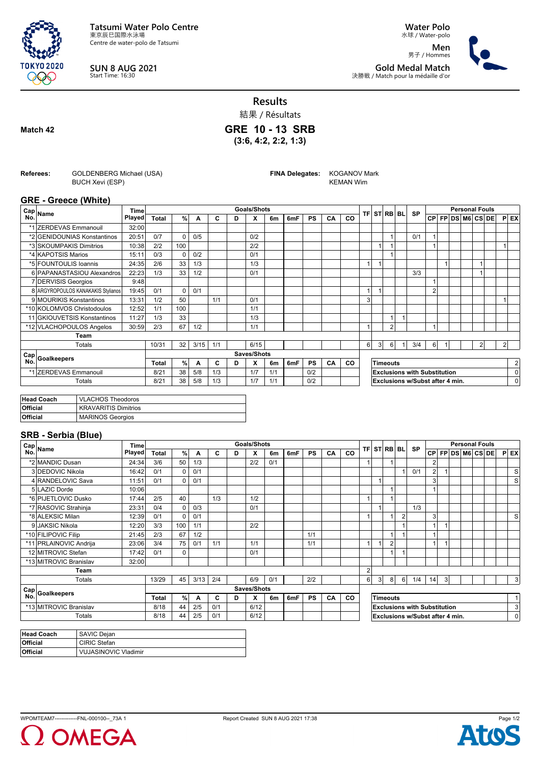

**SUN 8 AUG 2021** Start Time: 16:30

**Water Polo** 水球 / Water-polo

**Men** 男子 / Hommes **Gold Medal Match** 決勝戦 / Match pour la médaille d'or



**Results**

結果 / Résultats

**GRE 10 - 13 SRB**

**(3:6, 4:2, 2:2, 1:3)**

**Match 42**

**Referees:** GOLDENBERG Michael (USA) BUCH Xevi (ESP)

**FINA Delegates:** KOGANOV Mark KEMAN Wim

## **GRE - Greece (White)**

|     | ∈Cap <sub>Name</sub>               | Time   |              |               |      |     |   | <b>Goals/Shots</b> |     |     |           |    |           |                                                 |                      | TF ST RB BL    |  | <b>SP</b> | <b>Personal Fouls</b> |  |  |  |                   |  |                |        |
|-----|------------------------------------|--------|--------------|---------------|------|-----|---|--------------------|-----|-----|-----------|----|-----------|-------------------------------------------------|----------------------|----------------|--|-----------|-----------------------|--|--|--|-------------------|--|----------------|--------|
| No. |                                    | Played | Total        | $\frac{9}{6}$ | A    | C   | D | x                  | 6m  | 6mF | <b>PS</b> | CA | co        |                                                 |                      |                |  |           |                       |  |  |  | CP FP DS M6 CS DE |  |                | $P$ EX |
|     | *1 ZERDEVAS Emmanouil              | 32:00  |              |               |      |     |   |                    |     |     |           |    |           |                                                 |                      |                |  |           |                       |  |  |  |                   |  |                |        |
|     | *2 GENIDOUNIAS Konstantinos        | 20:51  | 0/7          | $\Omega$      | 0/5  |     |   | 0/2                |     |     |           |    |           |                                                 |                      |                |  | 0/1       |                       |  |  |  |                   |  |                |        |
|     | *3 SKOUMPAKIS Dimitrios            | 10:38  | 2/2          | 100           |      |     |   | 2/2                |     |     |           |    |           |                                                 |                      |                |  |           | 1                     |  |  |  |                   |  | ٠              |        |
|     | *4 KAPOTSIS Marios                 | 15:11  | 0/3          | 0             | 0/2  |     |   | 0/1                |     |     |           |    |           |                                                 |                      |                |  |           |                       |  |  |  |                   |  |                |        |
|     | *5 FOUNTOULIS Ioannis              | 24:35  | 2/6          | 33            | 1/3  |     |   | 1/3                |     |     |           |    |           |                                                 |                      |                |  |           |                       |  |  |  | 1                 |  |                |        |
|     | 6 PAPANASTASIOU Alexandros         | 22:23  | 1/3          | 33            | 1/2  |     |   | 0/1                |     |     |           |    |           |                                                 |                      |                |  | 3/3       |                       |  |  |  |                   |  |                |        |
|     | 7 DERVISIS Georgios                | 9:48   |              |               |      |     |   |                    |     |     |           |    |           |                                                 |                      |                |  |           |                       |  |  |  |                   |  |                |        |
|     | 8 ARGYROPOULOS KANAKAKIS Stylianos | 19:45  | 0/1          | $\mathbf 0$   | 0/1  |     |   |                    |     |     |           |    |           |                                                 |                      |                |  |           | $\overline{2}$        |  |  |  |                   |  |                |        |
|     | 9 MOURIKIS Konstantinos            | 13:31  | 1/2          | 50            |      | 1/1 |   | 0/1                |     |     |           |    |           | 3                                               |                      |                |  |           |                       |  |  |  |                   |  | ٠              |        |
|     | *10 KOLOMVOS Christodoulos         | 12:52  | 1/1          | 100           |      |     |   | 1/1                |     |     |           |    |           |                                                 |                      |                |  |           |                       |  |  |  |                   |  |                |        |
|     | 11 GKIOUVETSIS Konstantinos        | 11:27  | 1/3          | 33            |      |     |   | 1/3                |     |     |           |    |           |                                                 |                      |                |  |           |                       |  |  |  |                   |  |                |        |
|     | *12 VLACHOPOULOS Angelos           | 30:59  | 2/3          | 67            | 1/2  |     |   | 1/1                |     |     |           |    |           |                                                 |                      | $\overline{2}$ |  |           |                       |  |  |  |                   |  |                |        |
|     | Team                               |        |              |               |      |     |   |                    |     |     |           |    |           |                                                 |                      |                |  |           |                       |  |  |  |                   |  |                |        |
|     | Totals                             |        | 10/31        | 32            | 3/15 | 1/1 |   | 6/15               |     |     |           |    |           | 6                                               | 3                    | 6              |  | 3/4       | 6                     |  |  |  | 2                 |  | $\overline{2}$ |        |
|     | Cap Goalkeepers                    |        |              |               |      |     |   | Saves/Shots        |     |     |           |    |           |                                                 |                      |                |  |           |                       |  |  |  |                   |  |                |        |
|     |                                    |        | <b>Total</b> | %             | A    | C   | D | X                  | 6m  | 6mF | <b>PS</b> | CA | <b>CO</b> |                                                 | <b>Timeouts</b><br>2 |                |  |           |                       |  |  |  |                   |  |                |        |
|     | *1 ZERDEVAS Emmanouil              |        | 8/21         | 38            | 5/8  | 1/3 |   | 1/7                | 1/1 |     | 0/2       |    |           | <b>Exclusions with Substitution</b><br>$\Omega$ |                      |                |  |           |                       |  |  |  |                   |  |                |        |
|     | Totals                             |        | 8/21         | 38            | 5/8  | 1/3 |   | 1/7                | 1/1 |     | 0/2       |    |           | $\Omega$<br>Exclusions w/Subst after 4 min.     |                      |                |  |           |                       |  |  |  |                   |  |                |        |

| <b>Head Coach</b> | <b>VLACHOS Theodoros</b>    |
|-------------------|-----------------------------|
| <b>Official</b>   | <b>KRAVARITIS Dimitrios</b> |
| <b>Official</b>   | <b>MARINOS Georgios</b>     |

## **SRB - Serbia (Blue)**

| $\frac{Cap}{No}$ Name                         | Timel  |              |          |      |     |   | Goals/Shots |     |     |           |    |           |                                 |    |                |                       |                                     | <b>Personal Fouls</b> |                |  |  |                |  |  |         |
|-----------------------------------------------|--------|--------------|----------|------|-----|---|-------------|-----|-----|-----------|----|-----------|---------------------------------|----|----------------|-----------------------|-------------------------------------|-----------------------|----------------|--|--|----------------|--|--|---------|
|                                               | Played | <b>Total</b> | $\%$     | A    | C   | D | X           | 6m  | 6mF | <b>PS</b> | CA | <b>CO</b> |                                 |    |                | <b>TFI STIRBI BLI</b> | <b>SP</b>                           | CP                    |                |  |  | FP DS M6 CS DE |  |  | $P$ EX  |
| *2 MANDIC Dusan                               | 24:34  | 3/6          | 50       | 1/3  |     |   | 2/2         | 0/1 |     |           |    |           |                                 |    |                |                       |                                     |                       |                |  |  |                |  |  |         |
| 3 DEDOVIC Nikola                              | 16:42  | 0/1          | 0        | 0/1  |     |   |             |     |     |           |    |           |                                 |    |                |                       | 0/1                                 | 2                     |                |  |  |                |  |  | S       |
| 4 RANDELOVIC Sava                             | 11:51  | 0/1          | $\Omega$ | 0/1  |     |   |             |     |     |           |    |           |                                 |    |                |                       |                                     | 3                     |                |  |  |                |  |  | $S_{1}$ |
| 5 LAZIC Dorde                                 | 10:06  |              |          |      |     |   |             |     |     |           |    |           |                                 |    |                |                       |                                     |                       |                |  |  |                |  |  |         |
| *6 PIJETLOVIC Dusko                           | 17:44  | 2/5          | 40       |      | 1/3 |   | 1/2         |     |     |           |    |           |                                 |    |                |                       |                                     |                       |                |  |  |                |  |  |         |
| *7 RASOVIC Strahinja                          | 23:31  | 0/4          | $\Omega$ | 0/3  |     |   | 0/1         |     |     |           |    |           |                                 |    |                |                       | 1/3                                 |                       |                |  |  |                |  |  |         |
| *8 ALEKSIC Milan                              | 12:39  | 0/1          | $\Omega$ | 0/1  |     |   |             |     |     |           |    |           |                                 |    |                | $\overline{2}$        |                                     | 3                     |                |  |  |                |  |  | S       |
| 9 JAKSIC Nikola                               | 12:20  | 3/3          | 100      | 1/1  |     |   | 2/2         |     |     |           |    |           |                                 |    |                |                       |                                     |                       | $\overline{ }$ |  |  |                |  |  |         |
| *10 FILIPOVIC Filip                           | 21:45  | 2/3          | 67       | 1/2  |     |   |             |     |     | 1/1       |    |           |                                 |    | и              |                       |                                     |                       |                |  |  |                |  |  |         |
| *11 PRLAINOVIC Andrija                        | 23:06  | 3/4          | 75       | 0/1  | 1/1 |   | 1/1         |     |     | 1/1       |    |           |                                 |    | $\overline{2}$ |                       |                                     |                       |                |  |  |                |  |  |         |
| 12 MITROVIC Stefan                            | 17:42  | 0/1          | 0        |      |     |   | 0/1         |     |     |           |    |           |                                 |    |                |                       |                                     |                       |                |  |  |                |  |  |         |
| *13 MITROVIC Branislav                        | 32:00  |              |          |      |     |   |             |     |     |           |    |           |                                 |    |                |                       |                                     |                       |                |  |  |                |  |  |         |
| Team                                          |        |              |          |      |     |   |             |     |     |           |    |           | $\overline{2}$                  |    |                |                       |                                     |                       |                |  |  |                |  |  |         |
| Totals                                        |        | 13/29        | 45       | 3/13 | 2/4 |   | 6/9         | 0/1 |     | 2/2       |    |           | 6                               | 31 | 81             | -61                   | 1/4                                 | 14                    | 3              |  |  |                |  |  | 3       |
| $ \frac{\text{Cap}}{\text{Lie}} $ Goalkeepers |        |              |          |      |     |   | Saves/Shots |     |     |           |    |           |                                 |    |                |                       |                                     |                       |                |  |  |                |  |  |         |
|                                               |        | <b>Total</b> | $\%$     | A    | C   | D | X           | 6m  | 6mF | <b>PS</b> | CA | <b>CO</b> | <b>Timeouts</b>                 |    |                |                       |                                     |                       | $\mathbf{1}$   |  |  |                |  |  |         |
| *13 MITROVIC Branislav                        |        | 8/18         | 44       | 2/5  | 0/1 |   | 6/12        |     |     |           |    |           |                                 |    |                |                       | <b>Exclusions with Substitution</b> |                       |                |  |  |                |  |  | 3       |
| Totals                                        |        | 8/18         | 44       | 2/5  | 0/1 |   | 6/12        |     |     |           |    |           | Exclusions w/Subst after 4 min. |    |                |                       |                                     | $\pmb{0}$             |                |  |  |                |  |  |         |

| Head Coach      | SAVIC Dejan                 |
|-----------------|-----------------------------|
| <b>Official</b> | <b>CIRIC Stefan</b>         |
| <b>Official</b> | <b>VUJASINOVIC Vladimir</b> |

OMEGA